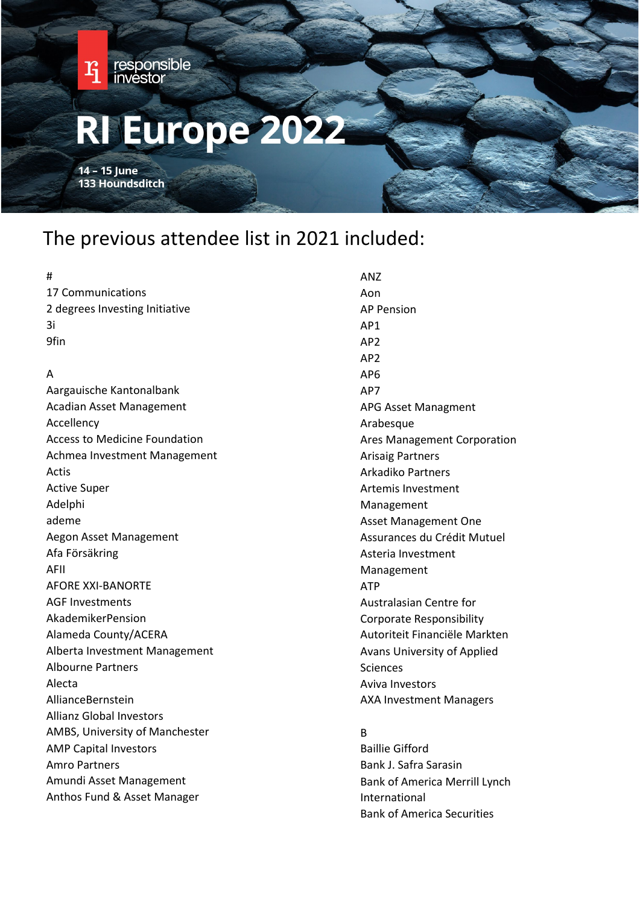

# The previous attendee list in 2021 included:

| #                                    | <b>ANZ</b>                        |
|--------------------------------------|-----------------------------------|
| 17 Communications                    | Aon                               |
| 2 degrees Investing Initiative       | <b>AP Pension</b>                 |
| 3i                                   | AP1                               |
| 9fin                                 | AP <sub>2</sub>                   |
|                                      | AP <sub>2</sub>                   |
| A                                    | AP <sub>6</sub>                   |
| Aargauische Kantonalbank             | AP7                               |
| <b>Acadian Asset Management</b>      | APG Asset Managment               |
| Accellency                           | Arabesque                         |
| <b>Access to Medicine Foundation</b> | Ares Management Corporation       |
| Achmea Investment Management         | <b>Arisaig Partners</b>           |
| Actis                                | <b>Arkadiko Partners</b>          |
| <b>Active Super</b>                  | Artemis Investment                |
| Adelphi                              | Management                        |
| ademe                                | <b>Asset Management One</b>       |
| Aegon Asset Management               | Assurances du Crédit Mutuel       |
| Afa Försäkring                       | Asteria Investment                |
| AFII                                 | Management                        |
| AFORE XXI-BANORTE                    | <b>ATP</b>                        |
| <b>AGF Investments</b>               | Australasian Centre for           |
| AkademikerPension                    | <b>Corporate Responsibility</b>   |
| Alameda County/ACERA                 | Autoriteit Financiële Markten     |
| Alberta Investment Management        | Avans University of Applied       |
| Albourne Partners                    | Sciences                          |
| Alecta                               | Aviva Investors                   |
| AllianceBernstein                    | <b>AXA Investment Managers</b>    |
| <b>Allianz Global Investors</b>      |                                   |
| AMBS, University of Manchester       | R.                                |
| <b>AMP Capital Investors</b>         | <b>Baillie Gifford</b>            |
| Amro Partners                        | Bank J. Safra Sarasin             |
| Amundi Asset Management              | Bank of America Merrill Lynch     |
| Anthos Fund & Asset Manager          | International                     |
|                                      | <b>Bank of America Securities</b> |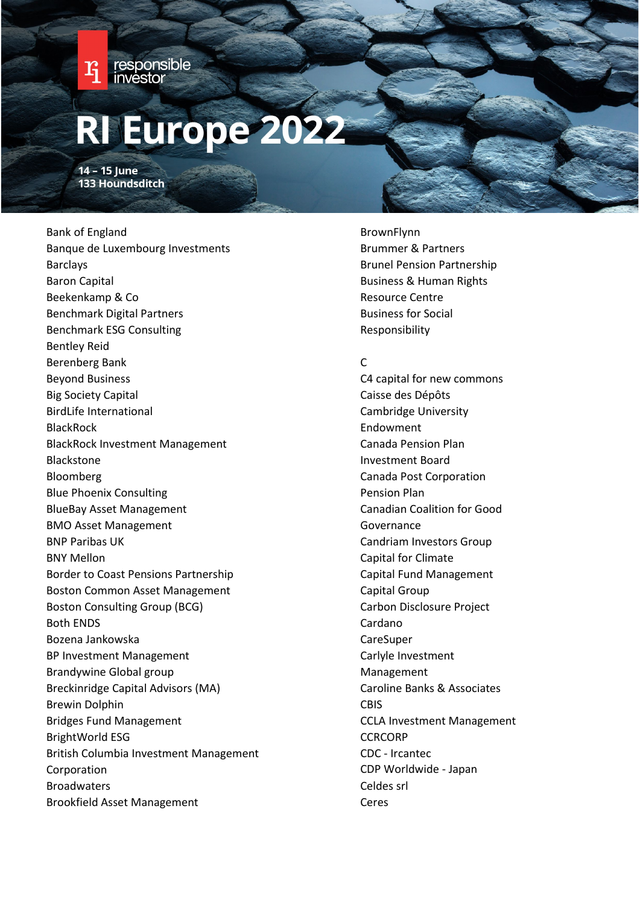

14 - 15 June 133 Houndsditch

Bank of England Banque de Luxembourg Investments Barclays Baron Capital Beekenkamp & Co Benchmark Digital Partners Benchmark ESG Consulting Bentley Reid Berenberg Bank Beyond Business Big Society Capital BirdLife International BlackRock BlackRock Investment Management Blackstone Bloomberg Blue Phoenix Consulting BlueBay Asset Management BMO Asset Management BNP Paribas UK BNY Mellon Border to Coast Pensions Partnership Boston Common Asset Management Boston Consulting Group (BCG) Both ENDS Bozena Jankowska BP Investment Management Brandywine Global group Breckinridge Capital Advisors (MA) Brewin Dolphin Bridges Fund Management BrightWorld ESG British Columbia Investment Management Corporation Broadwaters Brookfield Asset Management

BrownFlynn Brummer & Partners Brunel Pension Partnership Business & Human Rights Resource Centre Business for Social Responsibility

#### $\mathsf{C}$

C4 capital for new commons Caisse des Dépôts Cambridge University Endowment Canada Pension Plan Investment Board Canada Post Corporation Pension Plan Canadian Coalition for Good Governance Candriam Investors Group Capital for Climate Capital Fund Management Capital Group Carbon Disclosure Project Cardano **CareSuper** Carlyle Investment Management Caroline Banks & Associates **CBIS** CCLA Investment Management **CCRCORP** CDC - Ircantec CDP Worldwide - Japan Celdes srl Ceres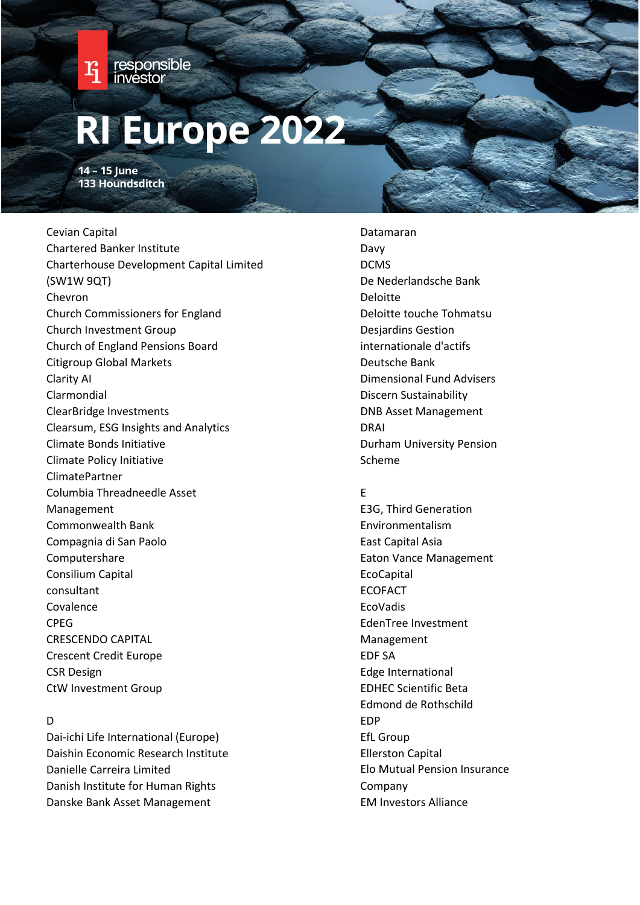

14 - 15 June 133 Houndsditch

Cevian Capital Chartered Banker Institute Charterhouse Development Capital Limited (SW1W 9QT) Chevron Church Commissioners for England Church Investment Group Church of England Pensions Board Citigroup Global Markets Clarity AI Clarmondial ClearBridge Investments Clearsum, ESG Insights and Analytics Climate Bonds Initiative Climate Policy Initiative ClimatePartner Columbia Threadneedle Asset Management Commonwealth Bank Compagnia di San Paolo Computershare Consilium Capital consultant Covalence CPEG CRESCENDO CAPITAL Crescent Credit Europe CSR Design CtW Investment Group

#### D

Dai-ichi Life International (Europe) Daishin Economic Research Institute Danielle Carreira Limited Danish Institute for Human Rights Danske Bank Asset Management

Datamaran Davy DCMS De Nederlandsche Bank Deloitte Deloitte touche Tohmatsu Desjardins Gestion internationale d'actifs Deutsche Bank Dimensional Fund Advisers Discern Sustainability DNB Asset Management DRAI Durham University Pension Scheme

#### E

E3G, Third Generation Environmentalism East Capital Asia Eaton Vance Management **EcoCapital** ECOFACT EcoVadis EdenTree Investment Management EDF SA Edge International EDHEC Scientific Beta Edmond de Rothschild EDP EfL Group Ellerston Capital Elo Mutual Pension Insurance Company EM Investors Alliance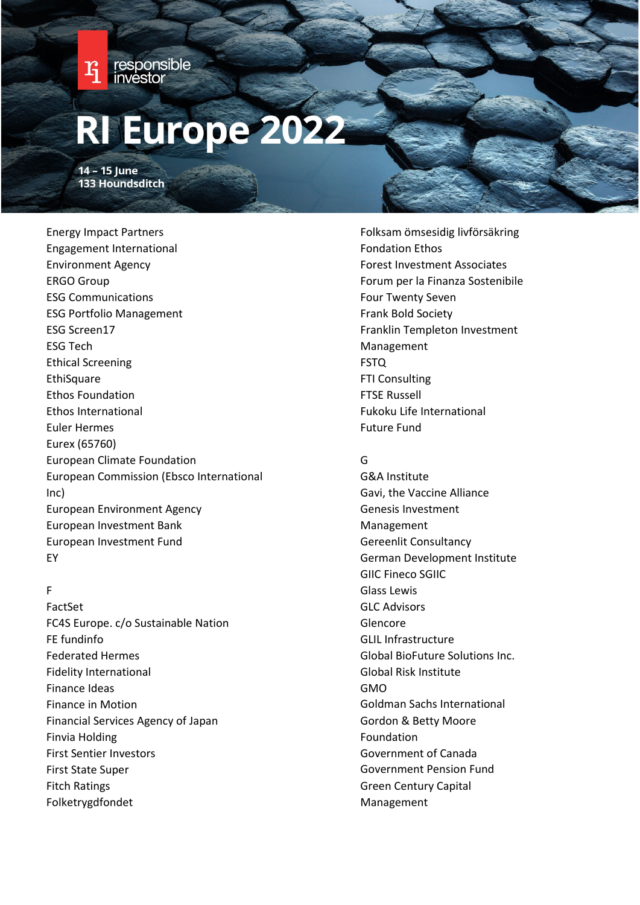

14 - 15 June 133 Houndsditch

Energy Impact Partners Engagement International Environment Agency ERGO Group ESG Communications ESG Portfolio Management ESG Screen17 ESG Tech Ethical Screening **EthiSquare** Ethos Foundation Ethos International Euler Hermes Eurex (65760) European Climate Foundation European Commission (Ebsco International Inc) European Environment Agency European Investment Bank European Investment Fund EY

#### F

FactSet FC4S Europe. c/o Sustainable Nation FE fundinfo Federated Hermes Fidelity International Finance Ideas Finance in Motion Financial Services Agency of Japan Finvia Holding First Sentier Investors First State Super Fitch Ratings Folketrygdfondet

Folksam ömsesidig livförsäkring Fondation Ethos Forest Investment Associates Forum per la Finanza Sostenibile Four Twenty Seven Frank Bold Society Franklin Templeton Investment Management FSTQ FTI Consulting FTSE Russell Fukoku Life International Future Fund

### G

G&A Institute Gavi, the Vaccine Alliance Genesis Investment Management Gereenlit Consultancy German Development Institute GIIC Fineco SGIIC Glass Lewis GLC Advisors Glencore GLIL Infrastructure Global BioFuture Solutions Inc. Global Risk Institute GMO Goldman Sachs International Gordon & Betty Moore Foundation Government of Canada Government Pension Fund Green Century Capital Management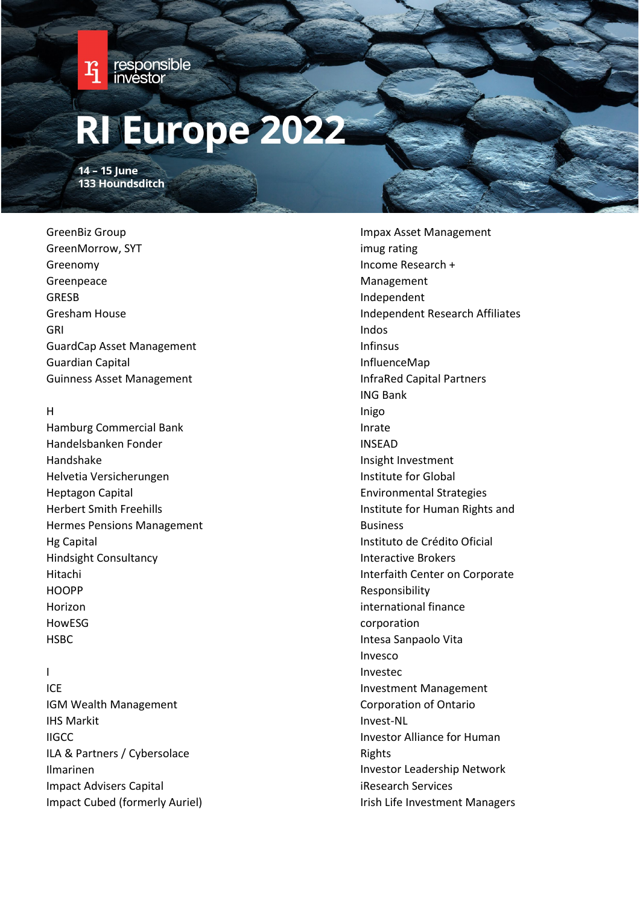

14 - 15 June 133 Houndsditch

## GreenBiz Group GreenMorrow, SYT Greenomy Greenpeace GRESB Gresham House GRI GuardCap Asset Management Guardian Capital Guinness Asset Management

### H

Hamburg Commercial Bank Handelsbanken Fonder Handshake Helvetia Versicherungen Heptagon Capital Herbert Smith Freehills Hermes Pensions Management Hg Capital Hindsight Consultancy Hitachi **HOOPP** Horizon HowESG HSBC

### I

ICE IGM Wealth Management IHS Markit IIGCC ILA & Partners / Cybersolace Ilmarinen Impact Advisers Capital Impact Cubed (formerly Auriel) Impax Asset Management imug rating Income Research + Management Independent Independent Research Affiliates Indos Infinsus InfluenceMap InfraRed Capital Partners ING Bank Inigo Inrate INSEAD Insight Investment Institute for Global Environmental Strategies Institute for Human Rights and Business Instituto de Crédito Oficial Interactive Brokers Interfaith Center on Corporate Responsibility international finance corporation Intesa Sanpaolo Vita Invesco Investec Investment Management Corporation of Ontario Invest-NL Investor Alliance for Human Rights Investor Leadership Network iResearch Services Irish Life Investment Managers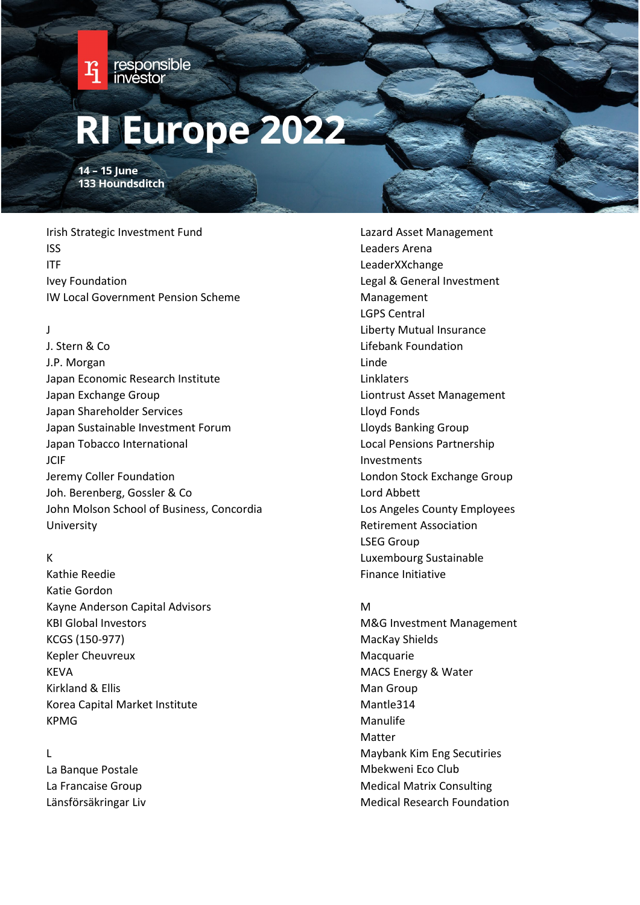

14 - 15 June 133 Houndsditch

Irish Strategic Investment Fund ISS ITF Ivey Foundation IW Local Government Pension Scheme

### J

J. Stern & Co J.P. Morgan Japan Economic Research Institute Japan Exchange Group Japan Shareholder Services Japan Sustainable Investment Forum Japan Tobacco International **JCIF** Jeremy Coller Foundation Joh. Berenberg, Gossler & Co John Molson School of Business, Concordia University

#### K

Kathie Reedie Katie Gordon Kayne Anderson Capital Advisors KBI Global Investors KCGS (150-977) Kepler Cheuvreux KEVA Kirkland & Ellis Korea Capital Market Institute KPMG

### L

La Banque Postale La Francaise Group Länsförsäkringar Liv Lazard Asset Management Leaders Arena LeaderXXchange Legal & General Investment Management LGPS Central Liberty Mutual Insurance Lifebank Foundation Linde Linklaters Liontrust Asset Management Lloyd Fonds Lloyds Banking Group Local Pensions Partnership Investments London Stock Exchange Group Lord Abbett Los Angeles County Employees Retirement Association LSEG Group Luxembourg Sustainable Finance Initiative

### M

M&G Investment Management MacKay Shields **Macquarie** MACS Energy & Water Man Group Mantle314 Manulife Matter Maybank Kim Eng Secutiries Mbekweni Eco Club Medical Matrix Consulting Medical Research Foundation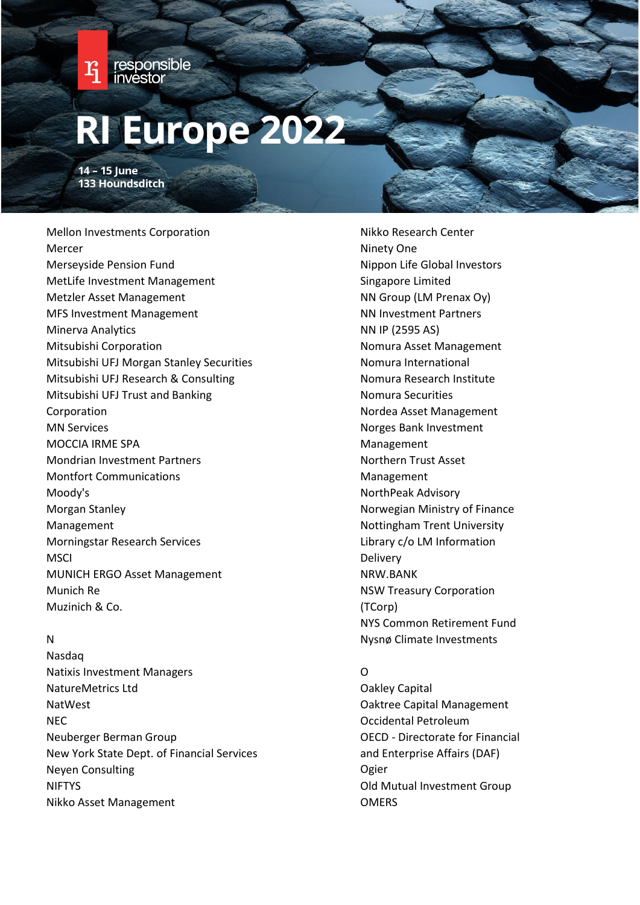

14 - 15 June 133 Houndsditch

Mellon Investments Corporation Mercer Merseyside Pension Fund MetLife Investment Management Metzler Asset Management MFS Investment Management Minerva Analytics Mitsubishi Corporation Mitsubishi UFJ Morgan Stanley Securities Mitsubishi UFJ Research & Consulting Mitsubishi UFJ Trust and Banking Corporation MN Services MOCCIA IRME SPA Mondrian Investment Partners Montfort Communications Moody's Morgan Stanley Management Morningstar Research Services **MSCI** MUNICH ERGO Asset Management Munich Re Muzinich & Co.

### N

Nasdaq Natixis Investment Managers NatureMetrics Ltd NatWest NEC Neuberger Berman Group New York State Dept. of Financial Services Neyen Consulting NIFTYS Nikko Asset Management

Nikko Research Center Ninety One Nippon Life Global Investors Singapore Limited NN Group (LM Prenax Oy) NN Investment Partners NN IP (2595 AS) Nomura Asset Management Nomura International Nomura Research Institute Nomura Securities Nordea Asset Management Norges Bank Investment Management Northern Trust Asset Management NorthPeak Advisory Norwegian Ministry of Finance Nottingham Trent University Library c/o LM Information Delivery NRW.BANK NSW Treasury Corporation (TCorp) NYS Common Retirement Fund Nysnø Climate Investments

### O

Oakley Capital Oaktree Capital Management Occidental Petroleum OECD - Directorate for Financial and Enterprise Affairs (DAF) Ogier Old Mutual Investment Group **OMERS**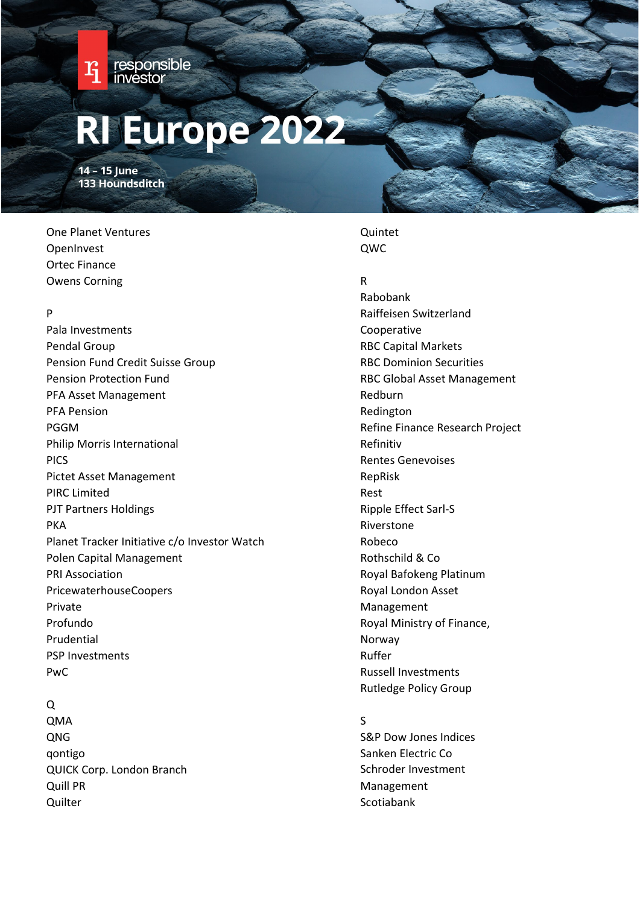

14 - 15 June 133 Houndsditch

One Planet Ventures OpenInvest Ortec Finance Owens Corning

### P

Pala Investments Pendal Group Pension Fund Credit Suisse Group Pension Protection Fund PFA Asset Management PFA Pension PGGM Philip Morris International PICS Pictet Asset Management PIRC Limited PJT Partners Holdings PKA Planet Tracker Initiative c/o Investor Watch Polen Capital Management PRI Association PricewaterhouseCoopers Private Profundo Prudential PSP Investments PwC

#### Q

QMA QNG qontigo QUICK Corp. London Branch Quill PR **Quilter** 

### Quintet QWC

#### R

Rabobank Raiffeisen Switzerland Cooperative RBC Capital Markets RBC Dominion Securities RBC Global Asset Management Redburn Redington Refine Finance Research Project Refinitiv Rentes Genevoises RepRisk Rest Ripple Effect Sarl-S Riverstone Robeco Rothschild & Co Royal Bafokeng Platinum Royal London Asset Management Royal Ministry of Finance, Norway Ruffer Russell Investments Rutledge Policy Group

#### S

S&P Dow Jones Indices Sanken Electric Co Schroder Investment Management Scotiabank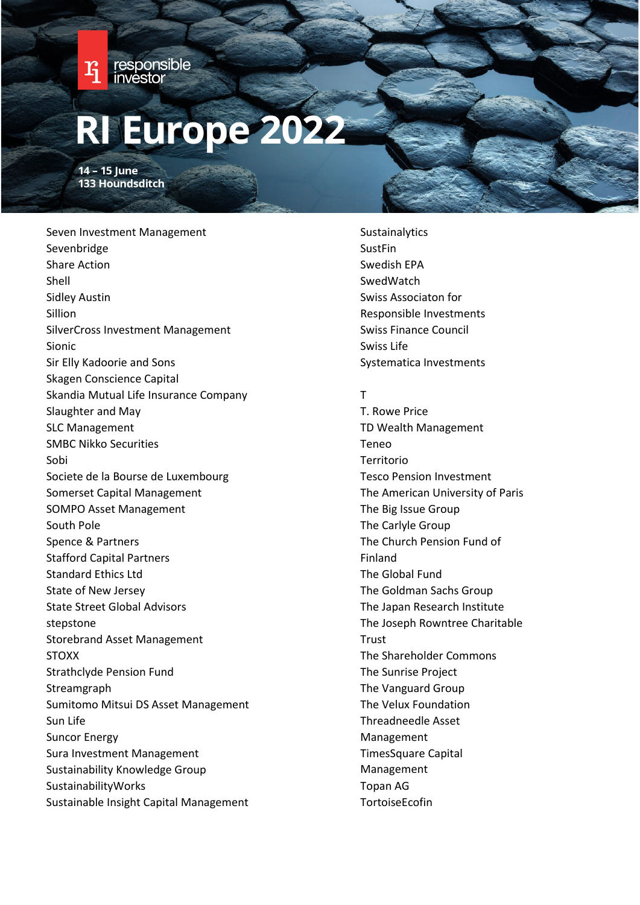

14 - 15 June 133 Houndsditch

Seven Investment Management Sevenbridge Share Action Shell Sidley Austin Sillion SilverCross Investment Management Sionic Sir Elly Kadoorie and Sons Skagen Conscience Capital Skandia Mutual Life Insurance Company Slaughter and May SLC Management SMBC Nikko Securities Sobi Societe de la Bourse de Luxembourg Somerset Capital Management SOMPO Asset Management South Pole Spence & Partners Stafford Capital Partners Standard Ethics Ltd State of New Jersey State Street Global Advisors stepstone Storebrand Asset Management STOXX Strathclyde Pension Fund Streamgraph Sumitomo Mitsui DS Asset Management Sun Life Suncor Energy Sura Investment Management Sustainability Knowledge Group SustainabilityWorks Sustainable Insight Capital Management

- Sustainalytics SustFin Swedish EPA **SwedWatch** Swiss Associaton for Responsible Investments Swiss Finance Council Swiss Life Systematica Investments
- T

T. Rowe Price TD Wealth Management Teneo Territorio Tesco Pension Investment The American University of Paris The Big Issue Group The Carlyle Group The Church Pension Fund of Finland The Global Fund The Goldman Sachs Group The Japan Research Institute The Joseph Rowntree Charitable **Trust** The Shareholder Commons The Sunrise Project The Vanguard Group The Velux Foundation Threadneedle Asset Management TimesSquare Capital Management Topan AG **TortoiseEcofin**